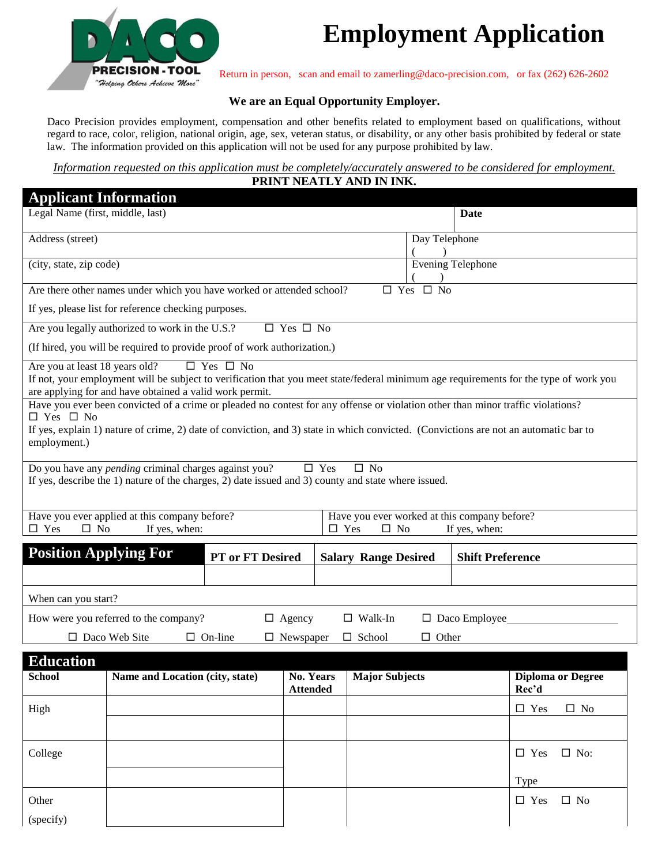

# **Employment Application**

**PRECISION - TOOL** Return in person, scan and email to zamerling@daco-precision.com, or fax (262) 626-2602<br>"Helping Others Achieve More"

#### **We are an Equal Opportunity Employer.**

Daco Precision provides employment, compensation and other benefits related to employment based on qualifications, without regard to race, color, religion, national origin, age, sex, veteran status, or disability, or any other basis prohibited by federal or state law. The information provided on this application will not be used for any purpose prohibited by law.

*Information requested on this application must be completely/accurately answered to be considered for employment.*  **PRINT NEATLY AND IN INK.**

|                                                                                             | <b>Applicant Information</b>                                                                                                                                                                                                                                            |                                 |                      |                                               |                                                           |                      |                         |               |                          |
|---------------------------------------------------------------------------------------------|-------------------------------------------------------------------------------------------------------------------------------------------------------------------------------------------------------------------------------------------------------------------------|---------------------------------|----------------------|-----------------------------------------------|-----------------------------------------------------------|----------------------|-------------------------|---------------|--------------------------|
| Legal Name (first, middle, last)                                                            |                                                                                                                                                                                                                                                                         |                                 |                      |                                               |                                                           |                      | <b>Date</b>             |               |                          |
| Address (street)                                                                            |                                                                                                                                                                                                                                                                         |                                 |                      |                                               |                                                           | Day Telephone        |                         |               |                          |
|                                                                                             | (city, state, zip code)                                                                                                                                                                                                                                                 |                                 |                      |                                               |                                                           | Evening Telephone    |                         |               |                          |
|                                                                                             | Are there other names under which you have worked or attended school?                                                                                                                                                                                                   |                                 |                      |                                               |                                                           | $\Box$ Yes $\Box$ No |                         |               |                          |
|                                                                                             | If yes, please list for reference checking purposes.                                                                                                                                                                                                                    |                                 |                      |                                               |                                                           |                      |                         |               |                          |
|                                                                                             | Are you legally authorized to work in the U.S.?                                                                                                                                                                                                                         |                                 | $\Box$ Yes $\Box$ No |                                               |                                                           |                      |                         |               |                          |
|                                                                                             | (If hired, you will be required to provide proof of work authorization.)                                                                                                                                                                                                |                                 |                      |                                               |                                                           |                      |                         |               |                          |
| Are you at least 18 years old?                                                              | If not, your employment will be subject to verification that you meet state/federal minimum age requirements for the type of work you<br>are applying for and have obtained a valid work permit.                                                                        | $\Box$ Yes $\Box$ No            |                      |                                               |                                                           |                      |                         |               |                          |
| $\Box$ Yes $\Box$ No<br>employment.)                                                        | Have you ever been convicted of a crime or pleaded no contest for any offense or violation other than minor traffic violations?<br>If yes, explain 1) nature of crime, 2) date of conviction, and 3) state in which convicted. (Convictions are not an automatic bar to |                                 |                      |                                               |                                                           |                      |                         |               |                          |
|                                                                                             | Do you have any <i>pending</i> criminal charges against you?<br>If yes, describe the 1) nature of the charges, 2) date issued and 3) county and state where issued.                                                                                                     |                                 |                      | $\square$ Yes                                 | $\square$ No                                              |                      |                         |               |                          |
| $\Box$ Yes<br>$\square$ No                                                                  | Have you ever applied at this company before?<br>If yes, when:                                                                                                                                                                                                          |                                 |                      | $\square$ Yes                                 | Have you ever worked at this company before?<br>$\Box$ No |                      | If yes, when:           |               |                          |
|                                                                                             | <b>Position Applying For</b>                                                                                                                                                                                                                                            | PT or FT Desired                |                      |                                               | <b>Salary Range Desired</b>                               |                      | <b>Shift Preference</b> |               |                          |
|                                                                                             |                                                                                                                                                                                                                                                                         |                                 |                      |                                               |                                                           |                      |                         |               |                          |
| When can you start?                                                                         |                                                                                                                                                                                                                                                                         |                                 |                      |                                               |                                                           |                      |                         |               |                          |
|                                                                                             | How were you referred to the company?<br>$\Box$ Agency<br>$\Box$ Walk-In<br>$\Box$ Daco Employee                                                                                                                                                                        |                                 |                      |                                               |                                                           |                      |                         |               |                          |
| $\Box$ Daco Web Site<br>$\Box$ On-line<br>$\Box$ Newspaper<br>$\Box$ School<br>$\Box$ Other |                                                                                                                                                                                                                                                                         |                                 |                      |                                               |                                                           |                      |                         |               |                          |
| <b>Education</b>                                                                            |                                                                                                                                                                                                                                                                         |                                 |                      |                                               |                                                           |                      |                         |               |                          |
| School                                                                                      |                                                                                                                                                                                                                                                                         | Name and Location (city, state) |                      | No. Years   Major Subjects<br><b>Attended</b> |                                                           |                      |                         | Rec'd         | <b>Diploma or Degree</b> |
| High                                                                                        |                                                                                                                                                                                                                                                                         |                                 |                      |                                               |                                                           |                      |                         | $\square$ Yes | $\square$ No             |
|                                                                                             |                                                                                                                                                                                                                                                                         |                                 |                      |                                               |                                                           |                      |                         |               |                          |
| College                                                                                     |                                                                                                                                                                                                                                                                         |                                 |                      |                                               |                                                           |                      |                         | $\square$ Yes | $\square$ No:            |
|                                                                                             |                                                                                                                                                                                                                                                                         |                                 |                      |                                               |                                                           |                      |                         | Type          |                          |
|                                                                                             |                                                                                                                                                                                                                                                                         |                                 |                      |                                               |                                                           |                      |                         |               |                          |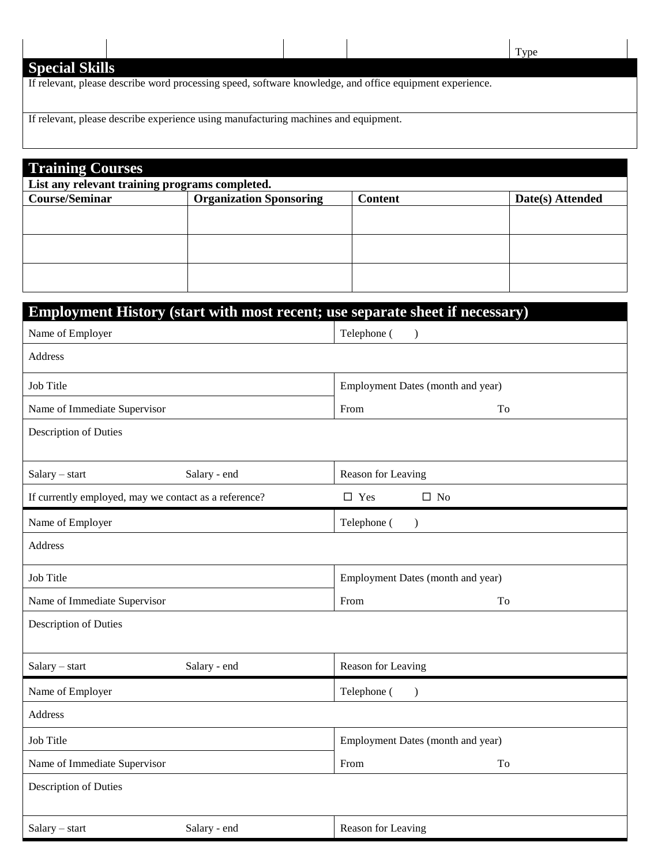Type

# **Special Skills**

If relevant, please describe word processing speed, software knowledge, and office equipment experience.

If relevant, please describe experience using manufacturing machines and equipment.

| <b>Training Courses</b><br>List any relevant training programs completed. |  |  |  |  |
|---------------------------------------------------------------------------|--|--|--|--|
|                                                                           |  |  |  |  |
|                                                                           |  |  |  |  |
|                                                                           |  |  |  |  |
|                                                                           |  |  |  |  |
|                                                                           |  |  |  |  |
|                                                                           |  |  |  |  |
|                                                                           |  |  |  |  |

| Employment History (start with most recent; use separate sheet if necessary) |                                   |  |  |  |
|------------------------------------------------------------------------------|-----------------------------------|--|--|--|
| Name of Employer                                                             | Telephone (<br>$\mathcal{E}$      |  |  |  |
| <b>Address</b>                                                               |                                   |  |  |  |
| <b>Job Title</b>                                                             | Employment Dates (month and year) |  |  |  |
| Name of Immediate Supervisor                                                 | To<br>From                        |  |  |  |
| <b>Description of Duties</b>                                                 |                                   |  |  |  |
| Salary - start<br>Salary - end                                               | Reason for Leaving                |  |  |  |
| If currently employed, may we contact as a reference?                        | $\square$ Yes<br>$\square$ No     |  |  |  |
| Name of Employer                                                             | Telephone (<br>$\mathcal{E}$      |  |  |  |
| Address                                                                      |                                   |  |  |  |
| Job Title                                                                    | Employment Dates (month and year) |  |  |  |
| Name of Immediate Supervisor                                                 | To<br>From                        |  |  |  |
| Description of Duties                                                        |                                   |  |  |  |
| Salary - start<br>Salary - end                                               | Reason for Leaving                |  |  |  |
| Name of Employer                                                             | Telephone (<br>$\mathcal{E}$      |  |  |  |
| Address                                                                      |                                   |  |  |  |
| <b>Job Title</b>                                                             | Employment Dates (month and year) |  |  |  |
| Name of Immediate Supervisor                                                 | To<br>From                        |  |  |  |
| <b>Description of Duties</b>                                                 |                                   |  |  |  |
| Salary - end<br>Salary - start                                               | Reason for Leaving                |  |  |  |